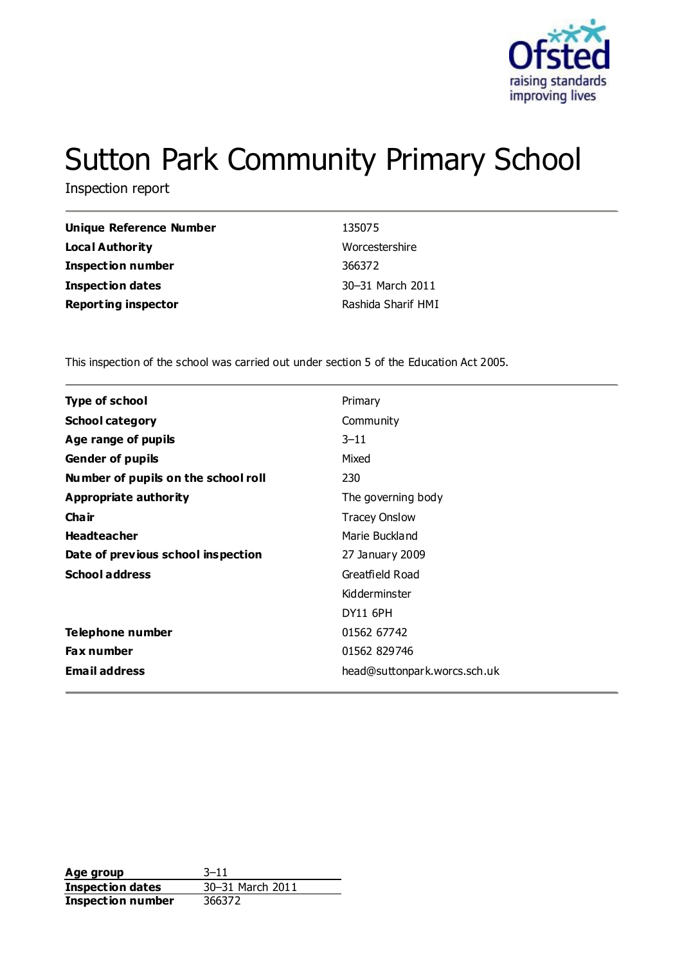

# Sutton Park Community Primary School

Inspection report

| <b>Unique Reference Number</b> | 135075             |
|--------------------------------|--------------------|
| Local Authority                | Worcestershire     |
| <b>Inspection number</b>       | 366372             |
| Inspection dates               | 30-31 March 2011   |
| <b>Reporting inspector</b>     | Rashida Sharif HMI |

This inspection of the school was carried out under section 5 of the Education Act 2005.

| <b>Type of school</b>               | Primary                      |
|-------------------------------------|------------------------------|
| <b>School category</b>              | Community                    |
| Age range of pupils                 | $3 - 11$                     |
| <b>Gender of pupils</b>             | Mixed                        |
| Number of pupils on the school roll | 230                          |
| Appropriate authority               | The governing body           |
| Cha ir                              | <b>Tracey Onslow</b>         |
| <b>Headteacher</b>                  | Marie Buckland               |
| Date of previous school inspection  | 27 January 2009              |
| <b>School address</b>               | Greatfield Road              |
|                                     | Kidderminster                |
|                                     | <b>DY11 6PH</b>              |
| Telephone number                    | 01562 67742                  |
| Fax number                          | 01562 829746                 |
| <b>Email address</b>                | head@suttonpark.worcs.sch.uk |
|                                     |                              |

**Age group** 3-11<br> **Inspection dates** 30-31 March 2011 **Inspection dates Inspection number** 366372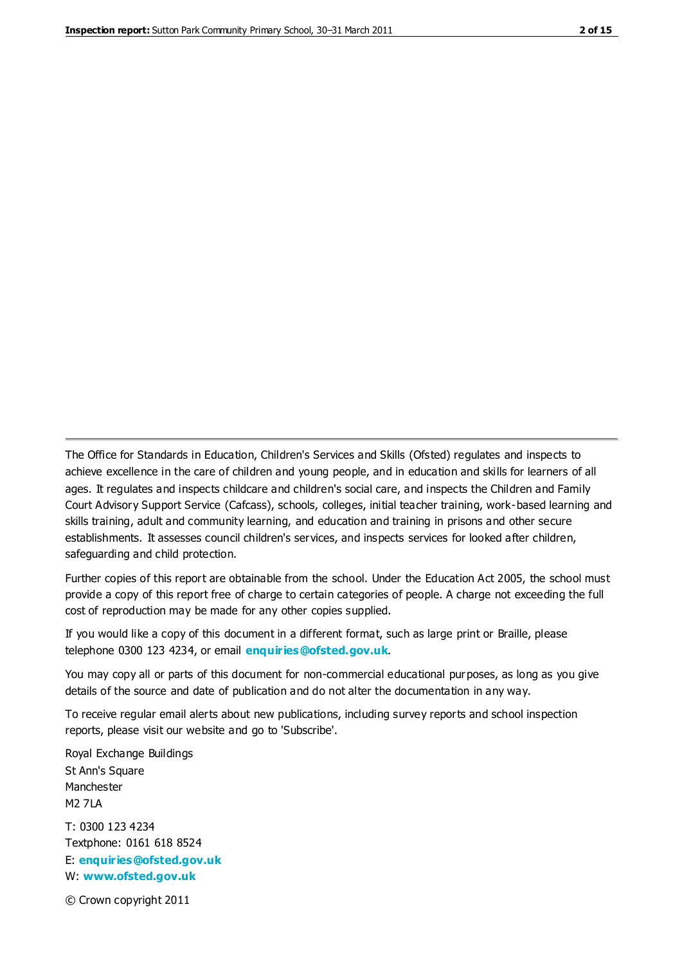The Office for Standards in Education, Children's Services and Skills (Ofsted) regulates and inspects to achieve excellence in the care of children and young people, and in education and skills for learners of all ages. It regulates and inspects childcare and children's social care, and inspects the Children and Family Court Advisory Support Service (Cafcass), schools, colleges, initial teacher training, work-based learning and skills training, adult and community learning, and education and training in prisons and other secure establishments. It assesses council children's services, and inspects services for looked after children, safeguarding and child protection.

Further copies of this report are obtainable from the school. Under the Education Act 2005, the school must provide a copy of this report free of charge to certain categories of people. A charge not exceeding the full cost of reproduction may be made for any other copies supplied.

If you would like a copy of this document in a different format, such as large print or Braille, please telephone 0300 123 4234, or email **[enquiries@ofsted.gov.uk](mailto:enquiries@ofsted.gov.uk)**.

You may copy all or parts of this document for non-commercial educational purposes, as long as you give details of the source and date of publication and do not alter the documentation in any way.

To receive regular email alerts about new publications, including survey reports and school inspection reports, please visit our website and go to 'Subscribe'.

Royal Exchange Buildings St Ann's Square Manchester M2 7LA T: 0300 123 4234 Textphone: 0161 618 8524 E: **[enquiries@ofsted.gov.uk](mailto:enquiries@ofsted.gov.uk)**

W: **[www.ofsted.gov.uk](http://www.ofsted.gov.uk/)**

© Crown copyright 2011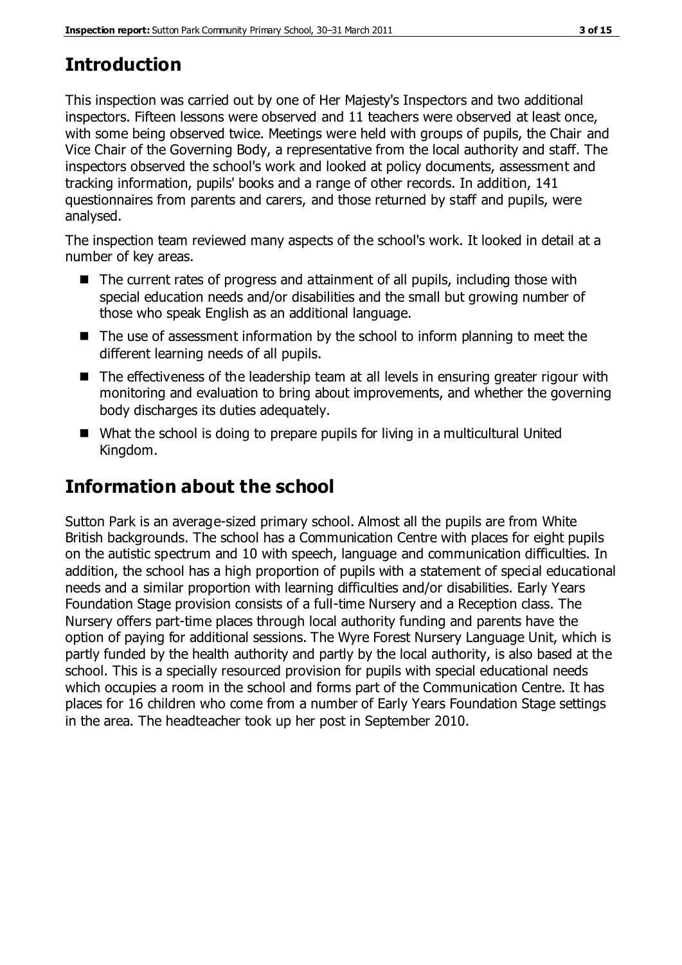# **Introduction**

This inspection was carried out by one of Her Majesty's Inspectors and two additional inspectors. Fifteen lessons were observed and 11 teachers were observed at least once, with some being observed twice. Meetings were held with groups of pupils, the Chair and Vice Chair of the Governing Body, a representative from the local authority and staff. The inspectors observed the school's work and looked at policy documents, assessment and tracking information, pupils' books and a range of other records. In addition, 141 questionnaires from parents and carers, and those returned by staff and pupils, were analysed.

The inspection team reviewed many aspects of the school's work. It looked in detail at a number of key areas.

- The current rates of progress and attainment of all pupils, including those with special education needs and/or disabilities and the small but growing number of those who speak English as an additional language.
- The use of assessment information by the school to inform planning to meet the different learning needs of all pupils.
- The effectiveness of the leadership team at all levels in ensuring greater rigour with monitoring and evaluation to bring about improvements, and whether the governing body discharges its duties adequately.
- What the school is doing to prepare pupils for living in a multicultural United Kingdom.

# **Information about the school**

Sutton Park is an average-sized primary school. Almost all the pupils are from White British backgrounds. The school has a Communication Centre with places for eight pupils on the autistic spectrum and 10 with speech, language and communication difficulties. In addition, the school has a high proportion of pupils with a statement of special educational needs and a similar proportion with learning difficulties and/or disabilities. Early Years Foundation Stage provision consists of a full-time Nursery and a Reception class. The Nursery offers part-time places through local authority funding and parents have the option of paying for additional sessions. The Wyre Forest Nursery Language Unit, which is partly funded by the health authority and partly by the local authority, is also based at the school. This is a specially resourced provision for pupils with special educational needs which occupies a room in the school and forms part of the Communication Centre. It has places for 16 children who come from a number of Early Years Foundation Stage settings in the area. The headteacher took up her post in September 2010.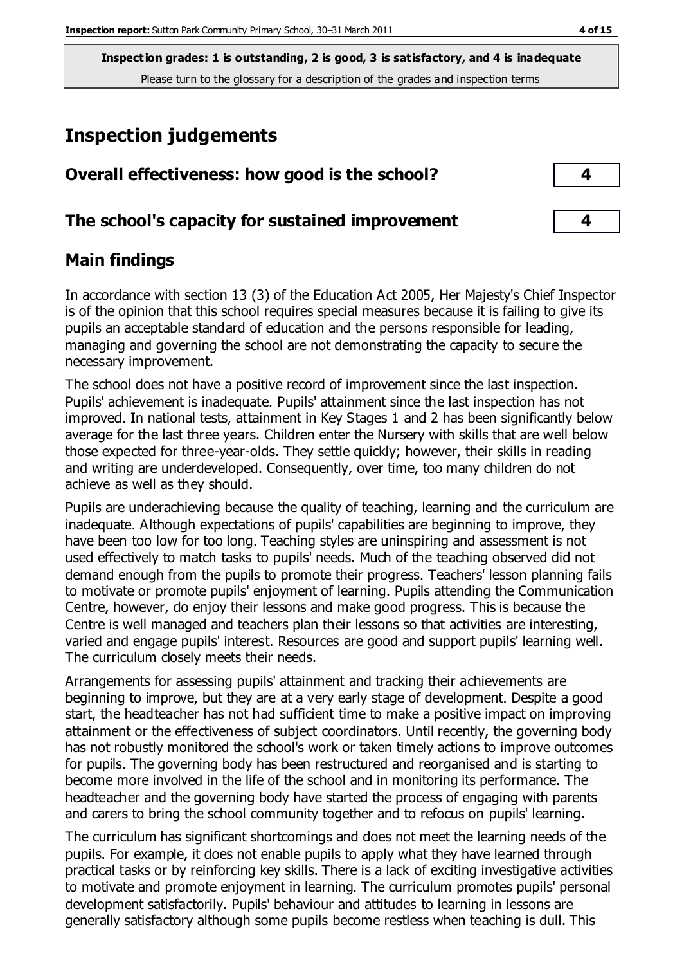## **Inspection judgements**

| Overall effectiveness: how good is the school?  |  |
|-------------------------------------------------|--|
| The school's capacity for sustained improvement |  |

## **Main findings**

In accordance with section 13 (3) of the Education Act 2005, Her Majesty's Chief Inspector is of the opinion that this school requires special measures because it is failing to give its pupils an acceptable standard of education and the persons responsible for leading, managing and governing the school are not demonstrating the capacity to secure the necessary improvement.

The school does not have a positive record of improvement since the last inspection. Pupils' achievement is inadequate. Pupils' attainment since the last inspection has not improved. In national tests, attainment in Key Stages 1 and 2 has been significantly below average for the last three years. Children enter the Nursery with skills that are well below those expected for three-year-olds. They settle quickly; however, their skills in reading and writing are underdeveloped. Consequently, over time, too many children do not achieve as well as they should.

Pupils are underachieving because the quality of teaching, learning and the curriculum are inadequate. Although expectations of pupils' capabilities are beginning to improve, they have been too low for too long. Teaching styles are uninspiring and assessment is not used effectively to match tasks to pupils' needs. Much of the teaching observed did not demand enough from the pupils to promote their progress. Teachers' lesson planning fails to motivate or promote pupils' enjoyment of learning. Pupils attending the Communication Centre, however, do enjoy their lessons and make good progress. This is because the Centre is well managed and teachers plan their lessons so that activities are interesting, varied and engage pupils' interest. Resources are good and support pupils' learning well. The curriculum closely meets their needs.

Arrangements for assessing pupils' attainment and tracking their achievements are beginning to improve, but they are at a very early stage of development. Despite a good start, the headteacher has not had sufficient time to make a positive impact on improving attainment or the effectiveness of subject coordinators. Until recently, the governing body has not robustly monitored the school's work or taken timely actions to improve outcomes for pupils. The governing body has been restructured and reorganised and is starting to become more involved in the life of the school and in monitoring its performance. The headteacher and the governing body have started the process of engaging with parents and carers to bring the school community together and to refocus on pupils' learning.

The curriculum has significant shortcomings and does not meet the learning needs of the pupils. For example, it does not enable pupils to apply what they have learned through practical tasks or by reinforcing key skills. There is a lack of exciting investigative activities to motivate and promote enjoyment in learning. The curriculum promotes pupils' personal development satisfactorily. Pupils' behaviour and attitudes to learning in lessons are generally satisfactory although some pupils become restless when teaching is dull. This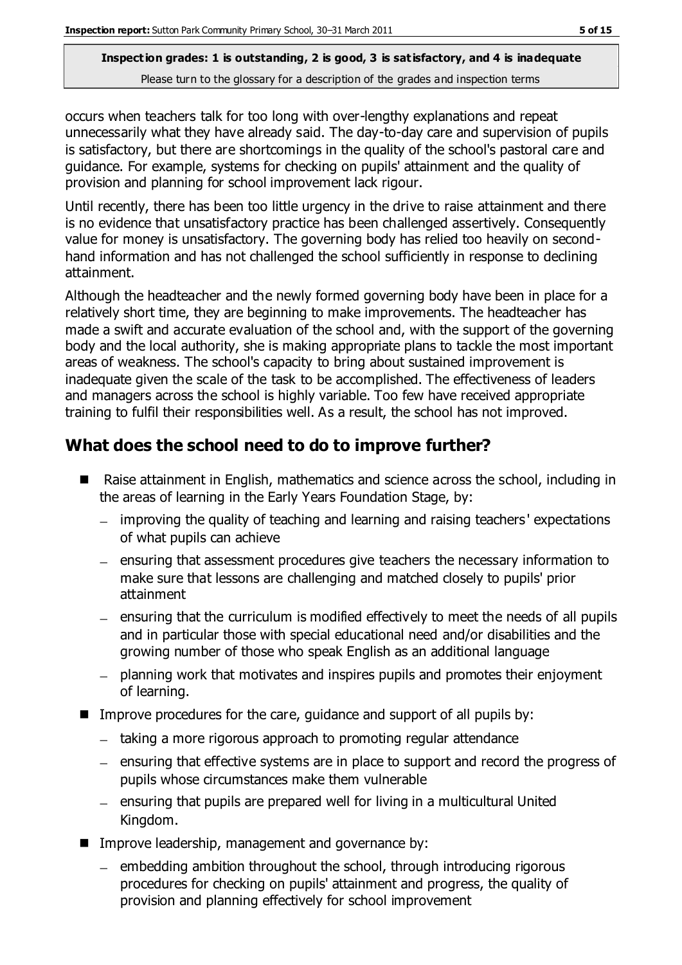occurs when teachers talk for too long with over-lengthy explanations and repeat unnecessarily what they have already said. The day-to-day care and supervision of pupils is satisfactory, but there are shortcomings in the quality of the school's pastoral care and guidance. For example, systems for checking on pupils' attainment and the quality of provision and planning for school improvement lack rigour.

Until recently, there has been too little urgency in the drive to raise attainment and there is no evidence that unsatisfactory practice has been challenged assertively. Consequently value for money is unsatisfactory. The governing body has relied too heavily on secondhand information and has not challenged the school sufficiently in response to declining attainment.

Although the headteacher and the newly formed governing body have been in place for a relatively short time, they are beginning to make improvements. The headteacher has made a swift and accurate evaluation of the school and, with the support of the governing body and the local authority, she is making appropriate plans to tackle the most important areas of weakness. The school's capacity to bring about sustained improvement is inadequate given the scale of the task to be accomplished. The effectiveness of leaders and managers across the school is highly variable. Too few have received appropriate training to fulfil their responsibilities well. As a result, the school has not improved.

## **What does the school need to do to improve further?**

- Raise attainment in English, mathematics and science across the school, including in the areas of learning in the Early Years Foundation Stage, by:
	- improving the quality of teaching and learning and raising teachers ' expectations of what pupils can achieve
	- $=$  ensuring that assessment procedures give teachers the necessary information to make sure that lessons are challenging and matched closely to pupils' prior attainment
	- ensuring that the curriculum is modified effectively to meet the needs of all pupils and in particular those with special educational need and/or disabilities and the growing number of those who speak English as an additional language
	- planning work that motivates and inspires pupils and promotes their enjoyment of learning.
- Improve procedures for the care, guidance and support of all pupils by:
	- taking a more rigorous approach to promoting regular attendance
	- ensuring that effective systems are in place to support and record the progress of pupils whose circumstances make them vulnerable
	- ensuring that pupils are prepared well for living in a multicultural United Kingdom.
- **IMPROVE LEADERSHIP, management and governance by:** 
	- $=$  embedding ambition throughout the school, through introducing rigorous procedures for checking on pupils' attainment and progress, the quality of provision and planning effectively for school improvement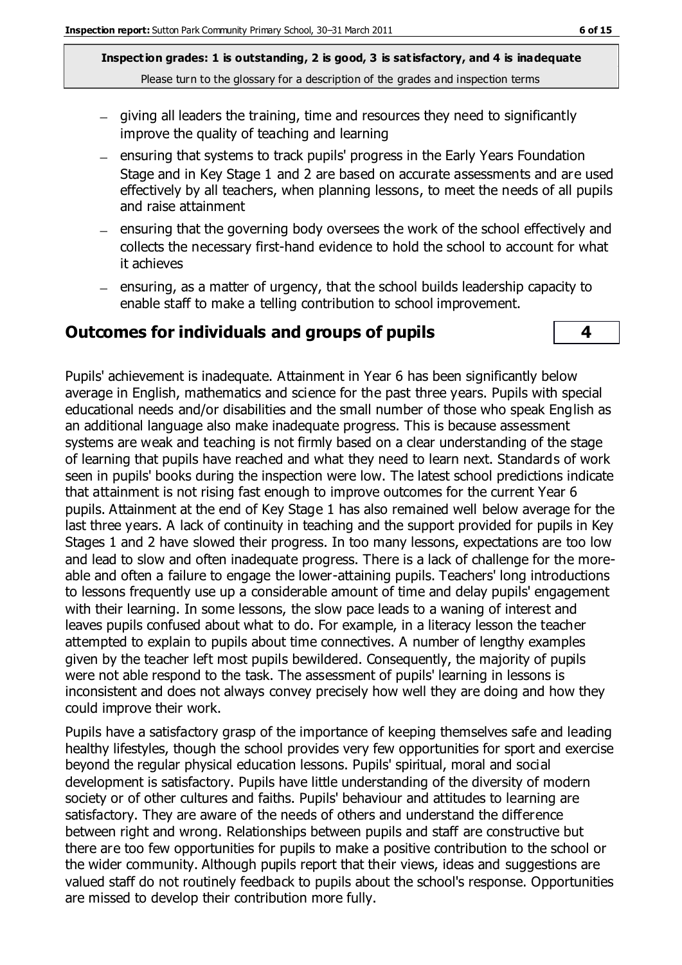- giving all leaders the training, time and resources they need to significantly improve the quality of teaching and learning
- ensuring that systems to track pupils' progress in the Early Years Foundation Stage and in Key Stage 1 and 2 are based on accurate assessments and are used effectively by all teachers, when planning lessons, to meet the needs of all pupils and raise attainment
- ensuring that the governing body oversees the work of the school effectively and collects the necessary first-hand evidence to hold the school to account for what it achieves
- $-$  ensuring, as a matter of urgency, that the school builds leadership capacity to enable staff to make a telling contribution to school improvement.

#### **Outcomes for individuals and groups of pupils 4**

Pupils' achievement is inadequate. Attainment in Year 6 has been significantly below average in English, mathematics and science for the past three years. Pupils with special educational needs and/or disabilities and the small number of those who speak English as an additional language also make inadequate progress. This is because assessment systems are weak and teaching is not firmly based on a clear understanding of the stage of learning that pupils have reached and what they need to learn next. Standards of work seen in pupils' books during the inspection were low. The latest school predictions indicate that attainment is not rising fast enough to improve outcomes for the current Year 6 pupils. Attainment at the end of Key Stage 1 has also remained well below average for the last three years. A lack of continuity in teaching and the support provided for pupils in Key Stages 1 and 2 have slowed their progress. In too many lessons, expectations are too low and lead to slow and often inadequate progress. There is a lack of challenge for the moreable and often a failure to engage the lower-attaining pupils. Teachers' long introductions to lessons frequently use up a considerable amount of time and delay pupils' engagement with their learning. In some lessons, the slow pace leads to a waning of interest and leaves pupils confused about what to do. For example, in a literacy lesson the teacher attempted to explain to pupils about time connectives. A number of lengthy examples given by the teacher left most pupils bewildered. Consequently, the majority of pupils were not able respond to the task. The assessment of pupils' learning in lessons is inconsistent and does not always convey precisely how well they are doing and how they could improve their work.

Pupils have a satisfactory grasp of the importance of keeping themselves safe and leading healthy lifestyles, though the school provides very few opportunities for sport and exercise beyond the regular physical education lessons. Pupils' spiritual, moral and social development is satisfactory. Pupils have little understanding of the diversity of modern society or of other cultures and faiths. Pupils' behaviour and attitudes to learning are satisfactory. They are aware of the needs of others and understand the difference between right and wrong. Relationships between pupils and staff are constructive but there are too few opportunities for pupils to make a positive contribution to the school or the wider community. Although pupils report that their views, ideas and suggestions are valued staff do not routinely feedback to pupils about the school's response. Opportunities are missed to develop their contribution more fully.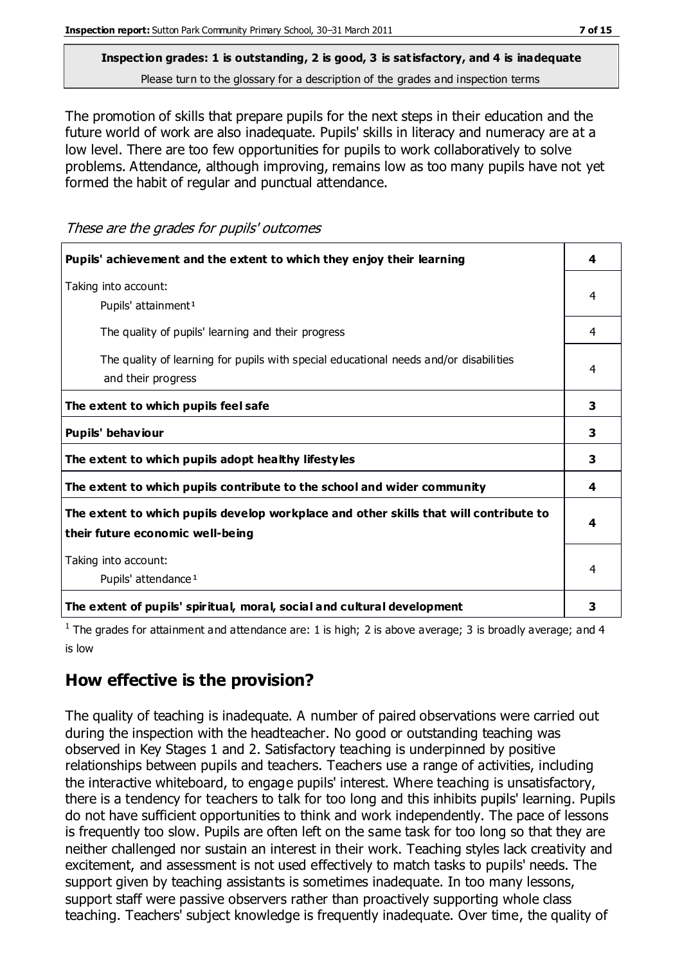The promotion of skills that prepare pupils for the next steps in their education and the future world of work are also inadequate. Pupils' skills in literacy and numeracy are at a low level. There are too few opportunities for pupils to work collaboratively to solve problems. Attendance, although improving, remains low as too many pupils have not yet formed the habit of regular and punctual attendance.

These are the grades for pupils' outcomes

| Pupils' achievement and the extent to which they enjoy their learning                                                     | 4 |
|---------------------------------------------------------------------------------------------------------------------------|---|
| Taking into account:<br>Pupils' attainment <sup>1</sup>                                                                   | 4 |
| The quality of pupils' learning and their progress                                                                        | 4 |
| The quality of learning for pupils with special educational needs and/or disabilities<br>and their progress               | 4 |
| The extent to which pupils feel safe                                                                                      | 3 |
| Pupils' behaviour                                                                                                         | 3 |
| The extent to which pupils adopt healthy lifestyles                                                                       | 3 |
| The extent to which pupils contribute to the school and wider community                                                   | 4 |
| The extent to which pupils develop workplace and other skills that will contribute to<br>their future economic well-being |   |
| Taking into account:<br>Pupils' attendance <sup>1</sup>                                                                   |   |
| The extent of pupils' spiritual, moral, social and cultural development                                                   | 3 |

<sup>1</sup> The grades for attainment and attendance are: 1 is high; 2 is above average; 3 is broadly average; and 4 is low

## **How effective is the provision?**

The quality of teaching is inadequate. A number of paired observations were carried out during the inspection with the headteacher. No good or outstanding teaching was observed in Key Stages 1 and 2. Satisfactory teaching is underpinned by positive relationships between pupils and teachers. Teachers use a range of activities, including the interactive whiteboard, to engage pupils' interest. Where teaching is unsatisfactory, there is a tendency for teachers to talk for too long and this inhibits pupils' learning. Pupils do not have sufficient opportunities to think and work independently. The pace of lessons is frequently too slow. Pupils are often left on the same task for too long so that they are neither challenged nor sustain an interest in their work. Teaching styles lack creativity and excitement, and assessment is not used effectively to match tasks to pupils' needs. The support given by teaching assistants is sometimes inadequate. In too many lessons, support staff were passive observers rather than proactively supporting whole class teaching. Teachers' subject knowledge is frequently inadequate. Over time, the quality of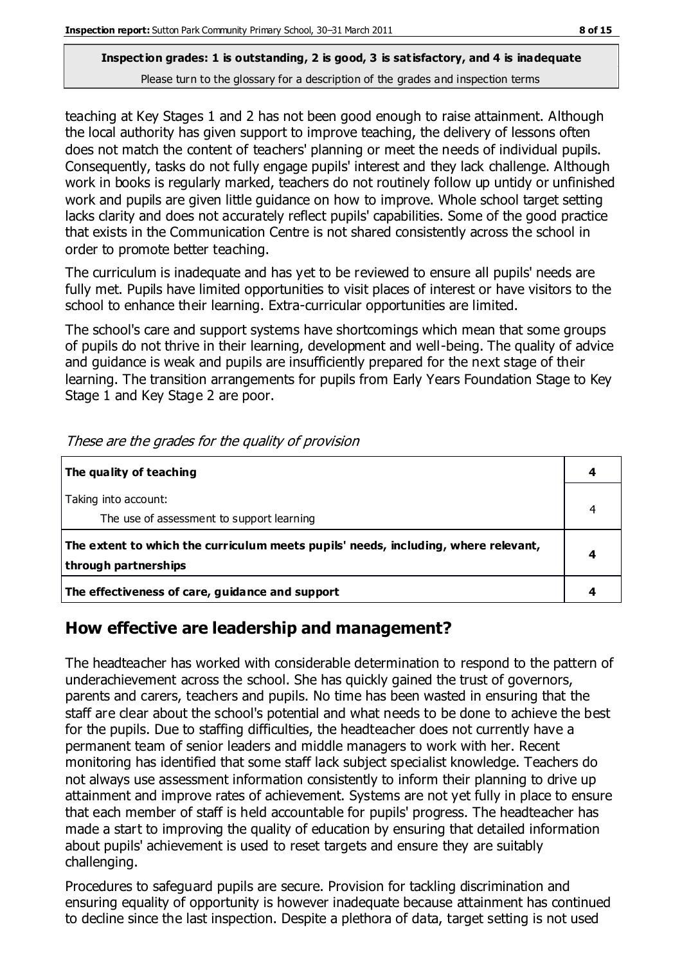teaching at Key Stages 1 and 2 has not been good enough to raise attainment. Although the local authority has given support to improve teaching, the delivery of lessons often does not match the content of teachers' planning or meet the needs of individual pupils. Consequently, tasks do not fully engage pupils' interest and they lack challenge. Although work in books is regularly marked, teachers do not routinely follow up untidy or unfinished work and pupils are given little guidance on how to improve. Whole school target setting lacks clarity and does not accurately reflect pupils' capabilities. Some of the good practice that exists in the Communication Centre is not shared consistently across the school in order to promote better teaching.

The curriculum is inadequate and has yet to be reviewed to ensure all pupils' needs are fully met. Pupils have limited opportunities to visit places of interest or have visitors to the school to enhance their learning. Extra-curricular opportunities are limited.

The school's care and support systems have shortcomings which mean that some groups of pupils do not thrive in their learning, development and well-being. The quality of advice and guidance is weak and pupils are insufficiently prepared for the next stage of their learning. The transition arrangements for pupils from Early Years Foundation Stage to Key Stage 1 and Key Stage 2 are poor.

| The quality of teaching                                                                                    |   |
|------------------------------------------------------------------------------------------------------------|---|
| Taking into account:<br>The use of assessment to support learning                                          |   |
| The extent to which the curriculum meets pupils' needs, including, where relevant,<br>through partnerships | 4 |
| The effectiveness of care, guidance and support                                                            |   |

These are the grades for the quality of provision

## **How effective are leadership and management?**

The headteacher has worked with considerable determination to respond to the pattern of underachievement across the school. She has quickly gained the trust of governors, parents and carers, teachers and pupils. No time has been wasted in ensuring that the staff are clear about the school's potential and what needs to be done to achieve the best for the pupils. Due to staffing difficulties, the headteacher does not currently have a permanent team of senior leaders and middle managers to work with her. Recent monitoring has identified that some staff lack subject specialist knowledge. Teachers do not always use assessment information consistently to inform their planning to drive up attainment and improve rates of achievement. Systems are not yet fully in place to ensure that each member of staff is held accountable for pupils' progress. The headteacher has made a start to improving the quality of education by ensuring that detailed information about pupils' achievement is used to reset targets and ensure they are suitably challenging.

Procedures to safeguard pupils are secure. Provision for tackling discrimination and ensuring equality of opportunity is however inadequate because attainment has continued to decline since the last inspection. Despite a plethora of data, target setting is not used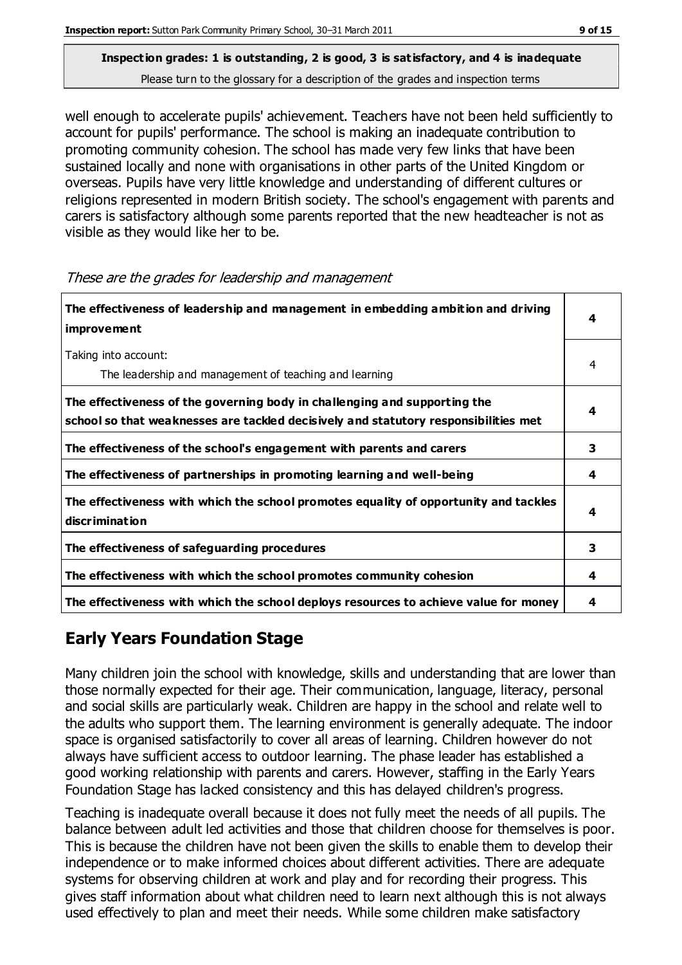well enough to accelerate pupils' achievement. Teachers have not been held sufficiently to account for pupils' performance. The school is making an inadequate contribution to promoting community cohesion. The school has made very few links that have been sustained locally and none with organisations in other parts of the United Kingdom or overseas. Pupils have very little knowledge and understanding of different cultures or religions represented in modern British society. The school's engagement with parents and carers is satisfactory although some parents reported that the new headteacher is not as visible as they would like her to be.

| The effectiveness of leadership and management in embedding ambition and driving<br>improvement                                                                  | 4 |
|------------------------------------------------------------------------------------------------------------------------------------------------------------------|---|
| Taking into account:<br>The leadership and management of teaching and learning                                                                                   | 4 |
| The effectiveness of the governing body in challenging and supporting the<br>school so that weaknesses are tackled decisively and statutory responsibilities met |   |
| The effectiveness of the school's engagement with parents and carers                                                                                             | 3 |
| The effectiveness of partnerships in promoting learning and well-being                                                                                           | 4 |
| The effectiveness with which the school promotes equality of opportunity and tackles<br><b>discrimination</b>                                                    | 4 |
| The effectiveness of safeguarding procedures                                                                                                                     | 3 |
| The effectiveness with which the school promotes community cohesion                                                                                              | 4 |
| The effectiveness with which the school deploys resources to achieve value for money                                                                             | 4 |

These are the grades for leadership and management

## **Early Years Foundation Stage**

Many children join the school with knowledge, skills and understanding that are lower than those normally expected for their age. Their communication, language, literacy, personal and social skills are particularly weak. Children are happy in the school and relate well to the adults who support them. The learning environment is generally adequate. The indoor space is organised satisfactorily to cover all areas of learning. Children however do not always have sufficient access to outdoor learning. The phase leader has established a good working relationship with parents and carers. However, staffing in the Early Years Foundation Stage has lacked consistency and this has delayed children's progress.

Teaching is inadequate overall because it does not fully meet the needs of all pupils. The balance between adult led activities and those that children choose for themselves is poor. This is because the children have not been given the skills to enable them to develop their independence or to make informed choices about different activities. There are adequate systems for observing children at work and play and for recording their progress. This gives staff information about what children need to learn next although this is not always used effectively to plan and meet their needs. While some children make satisfactory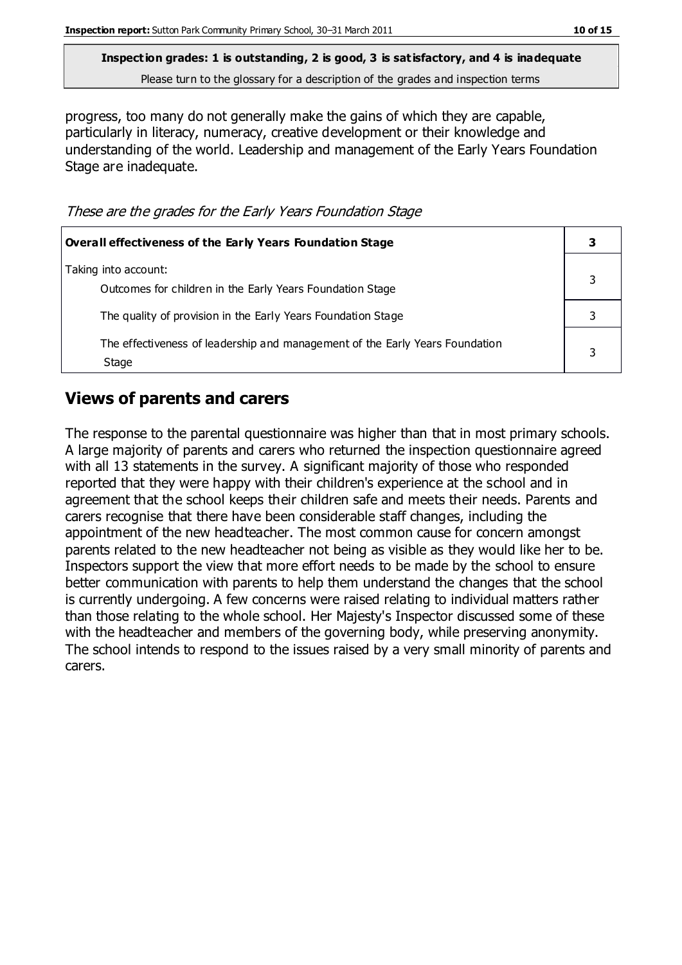**Inspection grades: 1 is outstanding, 2 is good, 3 is satisfactory, and 4 is inadequate**

Please turn to the glossary for a description of the grades and inspection terms

progress, too many do not generally make the gains of which they are capable, particularly in literacy, numeracy, creative development or their knowledge and understanding of the world. Leadership and management of the Early Years Foundation Stage are inadequate.

These are the grades for the Early Years Foundation Stage

| Overall effectiveness of the Early Years Foundation Stage                             |  |
|---------------------------------------------------------------------------------------|--|
| Taking into account:<br>Outcomes for children in the Early Years Foundation Stage     |  |
| The quality of provision in the Early Years Foundation Stage                          |  |
| The effectiveness of leadership and management of the Early Years Foundation<br>Stage |  |

## **Views of parents and carers**

The response to the parental questionnaire was higher than that in most primary schools. A large majority of parents and carers who returned the inspection questionnaire agreed with all 13 statements in the survey. A significant majority of those who responded reported that they were happy with their children's experience at the school and in agreement that the school keeps their children safe and meets their needs. Parents and carers recognise that there have been considerable staff changes, including the appointment of the new headteacher. The most common cause for concern amongst parents related to the new headteacher not being as visible as they would like her to be. Inspectors support the view that more effort needs to be made by the school to ensure better communication with parents to help them understand the changes that the school is currently undergoing. A few concerns were raised relating to individual matters rather than those relating to the whole school. Her Majesty's Inspector discussed some of these with the headteacher and members of the governing body, while preserving anonymity. The school intends to respond to the issues raised by a very small minority of parents and carers.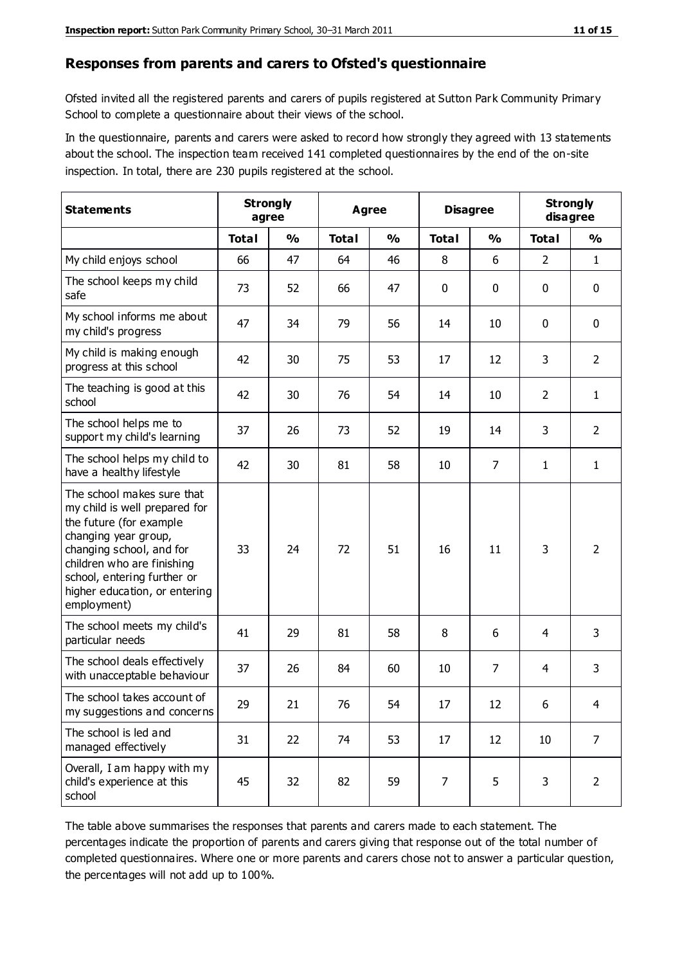#### **Responses from parents and carers to Ofsted's questionnaire**

Ofsted invited all the registered parents and carers of pupils registered at Sutton Park Community Primary School to complete a questionnaire about their views of the school.

In the questionnaire, parents and carers were asked to record how strongly they agreed with 13 statements about the school. The inspection team received 141 completed questionnaires by the end of the on-site inspection. In total, there are 230 pupils registered at the school.

| <b>Statements</b>                                                                                                                                                                                                                                       | <b>Strongly</b><br>agree |               |              | Agree         |              | <b>Disagree</b> |                | <b>Strongly</b><br>disagree |
|---------------------------------------------------------------------------------------------------------------------------------------------------------------------------------------------------------------------------------------------------------|--------------------------|---------------|--------------|---------------|--------------|-----------------|----------------|-----------------------------|
|                                                                                                                                                                                                                                                         | <b>Total</b>             | $\frac{0}{0}$ | <b>Total</b> | $\frac{0}{0}$ | <b>Total</b> | $\frac{0}{0}$   | <b>Total</b>   | $\frac{0}{0}$               |
| My child enjoys school                                                                                                                                                                                                                                  | 66                       | 47            | 64           | 46            | 8            | 6               | $\overline{2}$ | $\mathbf{1}$                |
| The school keeps my child<br>safe                                                                                                                                                                                                                       | 73                       | 52            | 66           | 47            | 0            | 0               | $\mathbf 0$    | $\mathbf 0$                 |
| My school informs me about<br>my child's progress                                                                                                                                                                                                       | 47                       | 34            | 79           | 56            | 14           | 10              | $\mathbf 0$    | $\mathbf 0$                 |
| My child is making enough<br>progress at this school                                                                                                                                                                                                    | 42                       | 30            | 75           | 53            | 17           | 12              | 3              | $\overline{2}$              |
| The teaching is good at this<br>school                                                                                                                                                                                                                  | 42                       | 30            | 76           | 54            | 14           | 10              | $\overline{2}$ | $\mathbf{1}$                |
| The school helps me to<br>support my child's learning                                                                                                                                                                                                   | 37                       | 26            | 73           | 52            | 19           | 14              | 3              | $\overline{2}$              |
| The school helps my child to<br>have a healthy lifestyle                                                                                                                                                                                                | 42                       | 30            | 81           | 58            | 10           | $\overline{7}$  | $\mathbf{1}$   | $\mathbf{1}$                |
| The school makes sure that<br>my child is well prepared for<br>the future (for example<br>changing year group,<br>changing school, and for<br>children who are finishing<br>school, entering further or<br>higher education, or entering<br>employment) | 33                       | 24            | 72           | 51            | 16           | 11              | 3              | $\overline{2}$              |
| The school meets my child's<br>particular needs                                                                                                                                                                                                         | 41                       | 29            | 81           | 58            | 8            | 6               | 4              | 3                           |
| The school deals effectively<br>with unacceptable behaviour                                                                                                                                                                                             | 37                       | 26            | 84           | 60            | 10           | 7               | 4              | 3                           |
| The school takes account of<br>my suggestions and concerns                                                                                                                                                                                              | 29                       | 21            | 76           | 54            | 17           | 12              | 6              | 4                           |
| The school is led and<br>managed effectively                                                                                                                                                                                                            | 31                       | 22            | 74           | 53            | 17           | 12              | 10             | $\overline{7}$              |
| Overall, I am happy with my<br>child's experience at this<br>school                                                                                                                                                                                     | 45                       | 32            | 82           | 59            | 7            | 5               | 3              | $\overline{2}$              |

The table above summarises the responses that parents and carers made to each statement. The percentages indicate the proportion of parents and carers giving that response out of the total number of completed questionnaires. Where one or more parents and carers chose not to answer a particular question, the percentages will not add up to 100%.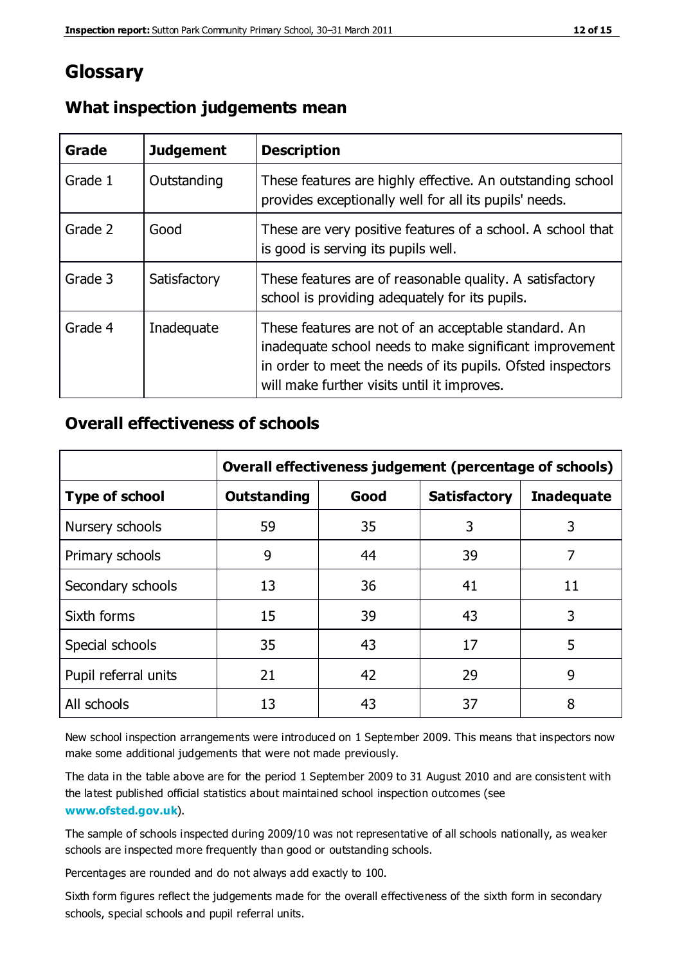## **Glossary**

| Grade   | <b>Judgement</b> | <b>Description</b>                                                                                                                                                                                                            |
|---------|------------------|-------------------------------------------------------------------------------------------------------------------------------------------------------------------------------------------------------------------------------|
| Grade 1 | Outstanding      | These features are highly effective. An outstanding school<br>provides exceptionally well for all its pupils' needs.                                                                                                          |
| Grade 2 | Good             | These are very positive features of a school. A school that<br>is good is serving its pupils well.                                                                                                                            |
| Grade 3 | Satisfactory     | These features are of reasonable quality. A satisfactory<br>school is providing adequately for its pupils.                                                                                                                    |
| Grade 4 | Inadequate       | These features are not of an acceptable standard. An<br>inadequate school needs to make significant improvement<br>in order to meet the needs of its pupils. Ofsted inspectors<br>will make further visits until it improves. |

#### **What inspection judgements mean**

#### **Overall effectiveness of schools**

|                       | Overall effectiveness judgement (percentage of schools) |      |                     |                   |
|-----------------------|---------------------------------------------------------|------|---------------------|-------------------|
| <b>Type of school</b> | <b>Outstanding</b>                                      | Good | <b>Satisfactory</b> | <b>Inadequate</b> |
| Nursery schools       | 59                                                      | 35   | 3                   | 3                 |
| Primary schools       | 9                                                       | 44   | 39                  | 7                 |
| Secondary schools     | 13                                                      | 36   | 41                  | 11                |
| Sixth forms           | 15                                                      | 39   | 43                  | 3                 |
| Special schools       | 35                                                      | 43   | 17                  | 5                 |
| Pupil referral units  | 21                                                      | 42   | 29                  | 9                 |
| All schools           | 13                                                      | 43   | 37                  | 8                 |

New school inspection arrangements were introduced on 1 September 2009. This means that inspectors now make some additional judgements that were not made previously.

The data in the table above are for the period 1 September 2009 to 31 August 2010 and are consistent with the latest published official statistics about maintained school inspection outcomes (see **[www.ofsted.gov.uk](http://www.ofsted.gov.uk/)**).

The sample of schools inspected during 2009/10 was not representative of all schools nationally, as weaker schools are inspected more frequently than good or outstanding schools.

Percentages are rounded and do not always add exactly to 100.

Sixth form figures reflect the judgements made for the overall effectiveness of the sixth form in secondary schools, special schools and pupil referral units.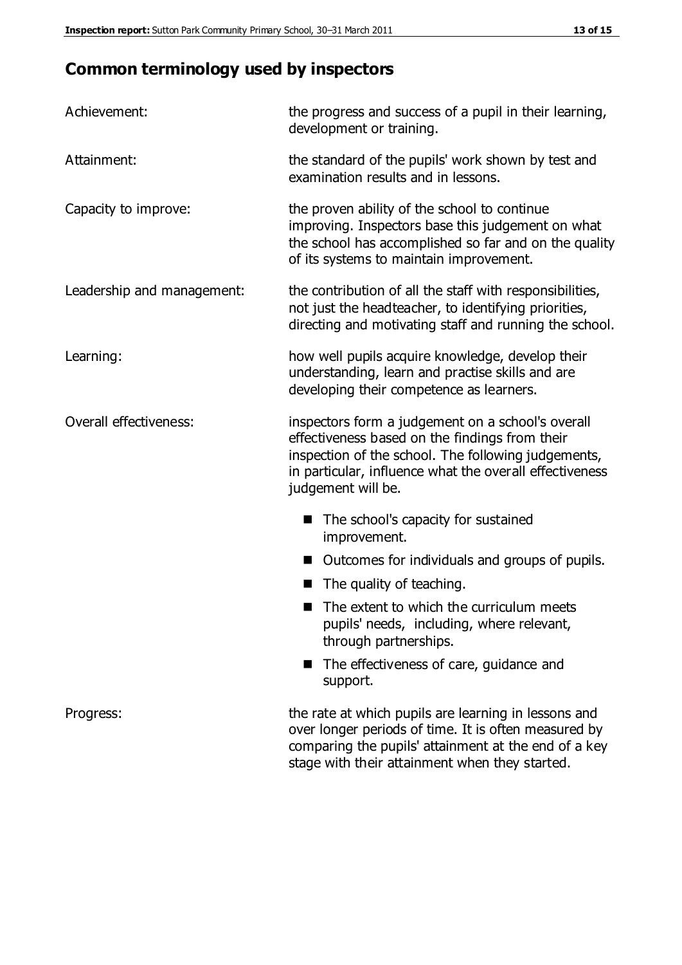## **Common terminology used by inspectors**

| Achievement:               | the progress and success of a pupil in their learning,<br>development or training.                                                                                                                                                          |  |  |
|----------------------------|---------------------------------------------------------------------------------------------------------------------------------------------------------------------------------------------------------------------------------------------|--|--|
| Attainment:                | the standard of the pupils' work shown by test and<br>examination results and in lessons.                                                                                                                                                   |  |  |
| Capacity to improve:       | the proven ability of the school to continue<br>improving. Inspectors base this judgement on what<br>the school has accomplished so far and on the quality<br>of its systems to maintain improvement.                                       |  |  |
| Leadership and management: | the contribution of all the staff with responsibilities,<br>not just the headteacher, to identifying priorities,<br>directing and motivating staff and running the school.                                                                  |  |  |
| Learning:                  | how well pupils acquire knowledge, develop their<br>understanding, learn and practise skills and are<br>developing their competence as learners.                                                                                            |  |  |
| Overall effectiveness:     | inspectors form a judgement on a school's overall<br>effectiveness based on the findings from their<br>inspection of the school. The following judgements,<br>in particular, influence what the overall effectiveness<br>judgement will be. |  |  |
|                            | The school's capacity for sustained<br>improvement.                                                                                                                                                                                         |  |  |
|                            | Outcomes for individuals and groups of pupils.                                                                                                                                                                                              |  |  |
|                            | The quality of teaching.                                                                                                                                                                                                                    |  |  |
|                            | The extent to which the curriculum meets<br>pupils' needs, including, where relevant,<br>through partnerships.                                                                                                                              |  |  |
|                            | The effectiveness of care, guidance and<br>support.                                                                                                                                                                                         |  |  |
| Progress:                  | the rate at which pupils are learning in lessons and<br>over longer periods of time. It is often measured by<br>comparing the pupils' attainment at the end of a key                                                                        |  |  |

stage with their attainment when they started.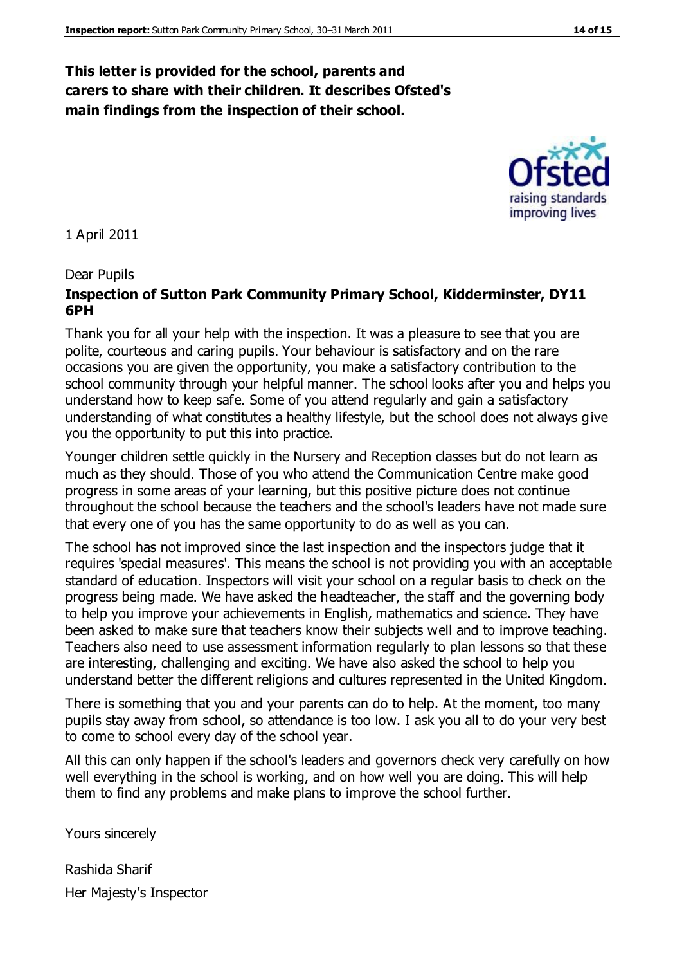#### **This letter is provided for the school, parents and carers to share with their children. It describes Ofsted's main findings from the inspection of their school.**

1 April 2011

#### Dear Pupils

#### **Inspection of Sutton Park Community Primary School, Kidderminster, DY11 6PH**

Thank you for all your help with the inspection. It was a pleasure to see that you are polite, courteous and caring pupils. Your behaviour is satisfactory and on the rare occasions you are given the opportunity, you make a satisfactory contribution to the school community through your helpful manner. The school looks after you and helps you understand how to keep safe. Some of you attend regularly and gain a satisfactory understanding of what constitutes a healthy lifestyle, but the school does not always give you the opportunity to put this into practice.

Younger children settle quickly in the Nursery and Reception classes but do not learn as much as they should. Those of you who attend the Communication Centre make good progress in some areas of your learning, but this positive picture does not continue throughout the school because the teachers and the school's leaders have not made sure that every one of you has the same opportunity to do as well as you can.

The school has not improved since the last inspection and the inspectors judge that it requires 'special measures'. This means the school is not providing you with an acceptable standard of education. Inspectors will visit your school on a regular basis to check on the progress being made. We have asked the headteacher, the staff and the governing body to help you improve your achievements in English, mathematics and science. They have been asked to make sure that teachers know their subjects well and to improve teaching. Teachers also need to use assessment information regularly to plan lessons so that these are interesting, challenging and exciting. We have also asked the school to help you understand better the different religions and cultures represented in the United Kingdom.

There is something that you and your parents can do to help. At the moment, too many pupils stay away from school, so attendance is too low. I ask you all to do your very best to come to school every day of the school year.

All this can only happen if the school's leaders and governors check very carefully on how well everything in the school is working, and on how well you are doing. This will help them to find any problems and make plans to improve the school further.

Yours sincerely

Rashida Sharif Her Majesty's Inspector